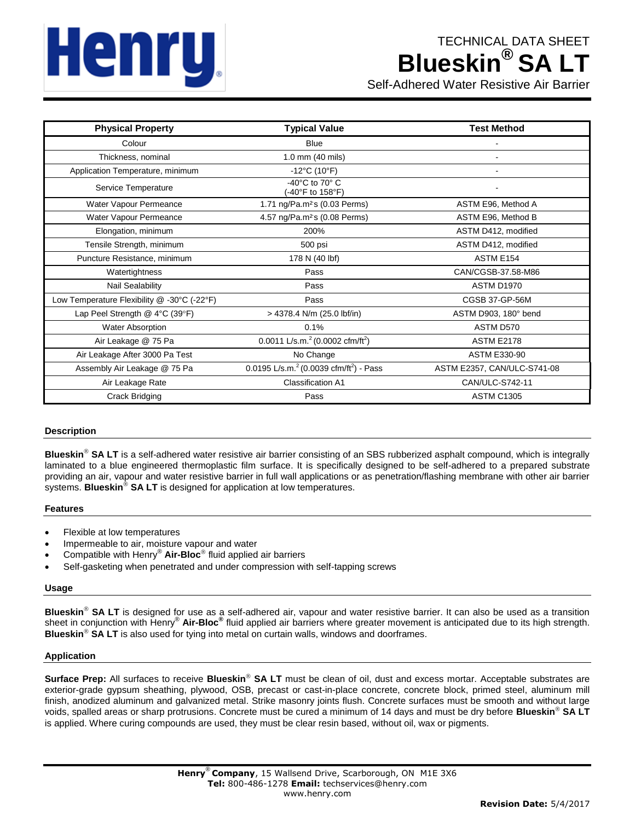# **Henru**

# TECHNICAL DATA SHEET **Blueskin**<sup>®</sup> SA L

Self-Adhered Water Resistive Air Barrier

| <b>Physical Property</b>                    | <b>Typical Value</b>                                      | <b>Test Method</b>          |
|---------------------------------------------|-----------------------------------------------------------|-----------------------------|
| Colour                                      | <b>Blue</b>                                               |                             |
| Thickness, nominal                          | 1.0 mm (40 mils)                                          |                             |
| Application Temperature, minimum            | $-12^{\circ}$ C (10 $^{\circ}$ F)                         |                             |
| Service Temperature                         | -40°C to 70° C<br>(-40°F to 158°F)                        |                             |
| Water Vapour Permeance                      | 1.71 ng/Pa.m <sup>2</sup> s (0.03 Perms)                  | ASTM E96, Method A          |
| Water Vapour Permeance                      | 4.57 ng/Pa.m <sup>2</sup> s (0.08 Perms)                  | ASTM E96, Method B          |
| Elongation, minimum                         | 200%                                                      | ASTM D412, modified         |
| Tensile Strength, minimum                   | 500 psi                                                   | ASTM D412, modified         |
| Puncture Resistance, minimum                | 178 N (40 lbf)                                            | ASTM E154                   |
| Watertightness                              | Pass                                                      | CAN/CGSB-37.58-M86          |
| Nail Sealability                            | Pass                                                      | ASTM D1970                  |
| Low Temperature Flexibility @ -30°C (-22°F) | Pass                                                      | CGSB 37-GP-56M              |
| Lap Peel Strength $@$ 4°C (39°F)            | > 4378.4 N/m (25.0 lbf/in)                                | ASTM D903, 180° bend        |
| <b>Water Absorption</b>                     | 0.1%                                                      | ASTM D570                   |
| Air Leakage @ 75 Pa                         | 0.0011 L/s.m. $^{2}$ (0.0002 cfm/ft <sup>2</sup> )        | <b>ASTM E2178</b>           |
| Air Leakage After 3000 Pa Test              | No Change                                                 | <b>ASTM E330-90</b>         |
| Assembly Air Leakage @ 75 Pa                | 0.0195 L/s.m. $^{2}$ (0.0039 cfm/ft <sup>2</sup> ) - Pass | ASTM E2357, CAN/ULC-S741-08 |
| Air Leakage Rate                            | Classification A1                                         | CAN/ULC-S742-11             |
| Crack Bridging                              | Pass                                                      | <b>ASTM C1305</b>           |

# **Description**

Blueskin<sup>®</sup> SA LT is a self-adhered water resistive air barrier consisting of an SBS rubberized asphalt compound, which is integrally laminated to a blue engineered thermoplastic film surface. It is specifically designed to be self-adhered to a prepared substrate providing an air, vapour and water resistive barrier in full wall applications or as penetration/flashing membrane with other air barrier systems. **Blueskin<sup>®</sup> SA LT** is designed for application at low temperatures.

# **Features**

- Flexible at low temperatures
- Impermeable to air, moisture vapour and water
- Compatible with Henry® **Air-Bloc** fluid applied air barriers
- Self-gasketing when penetrated and under compression with self-tapping screws

#### **Usage**

Blueskin<sup>®</sup> SA LT is designed for use as a self-adhered air, vapour and water resistive barrier. It can also be used as a transition sheet in conjunction with Henry® **Air-Bloc®** fluid applied air barriers where greater movement is anticipated due to its high strength. **Blueskin<sup>®</sup> SA LT** is also used for tying into metal on curtain walls, windows and doorframes.

#### **Application**

Surface Prep: All surfaces to receive Blueskin<sup>®</sup> SA LT must be clean of oil, dust and excess mortar. Acceptable substrates are exterior-grade gypsum sheathing, plywood, OSB, precast or cast-in-place concrete, concrete block, primed steel, aluminum mill finish, anodized aluminum and galvanized metal. Strike masonry joints flush. Concrete surfaces must be smooth and without large voids, spalled areas or sharp protrusions. Concrete must be cured a minimum of 14 days and must be dry before **Blueskin SA LT** is applied. Where curing compounds are used, they must be clear resin based, without oil, wax or pigments.